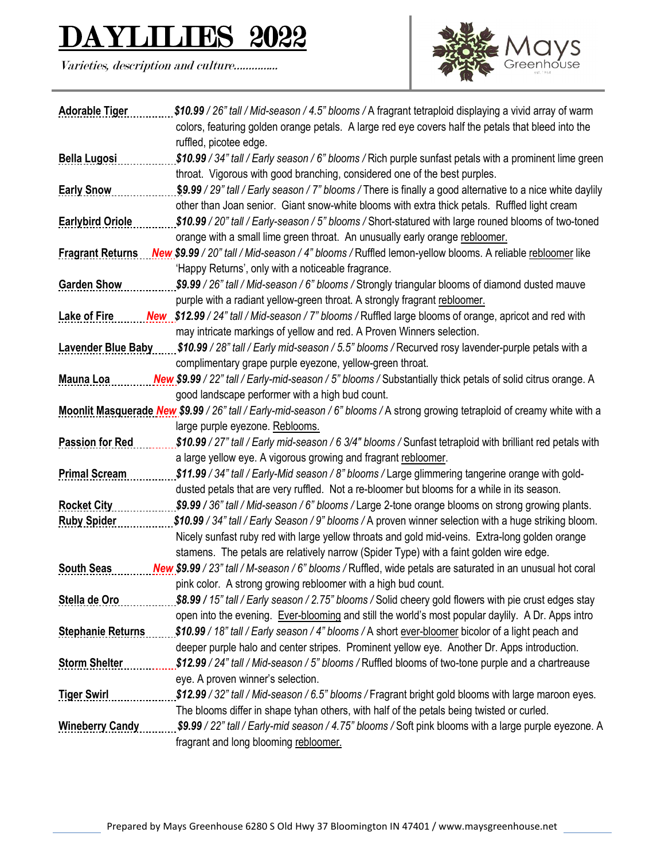## ES 2022

Varieties, description and culture…………...



| <b>Adorable Tiger</b>     | \$10.99 / 26" tall / Mid-season / 4.5" blooms / A fragrant tetraploid displaying a vivid array of warm                                                                                          |
|---------------------------|-------------------------------------------------------------------------------------------------------------------------------------------------------------------------------------------------|
|                           | colors, featuring golden orange petals. A large red eye covers half the petals that bleed into the                                                                                              |
|                           | ruffled, picotee edge.                                                                                                                                                                          |
| <b>Bella Lugosi</b>       | \$10.99 / 34" tall / Early season / 6" blooms / Rich purple sunfast petals with a prominent lime green                                                                                          |
|                           | throat. Vigorous with good branching, considered one of the best purples.                                                                                                                       |
| <b>Early Snow</b>         | \$9.99 / 29" tall / Early season / 7" blooms / There is finally a good alternative to a nice white daylily                                                                                      |
|                           | other than Joan senior. Giant snow-white blooms with extra thick petals. Ruffled light cream                                                                                                    |
| <b>Earlybird Oriole</b>   | \$10.99 / 20" tall / Early-season / 5" blooms / Short-statured with large rouned blooms of two-toned                                                                                            |
|                           | orange with a small lime green throat. An unusually early orange rebloomer.                                                                                                                     |
| <b>Fragrant Returns</b>   | New \$9.99 / 20" tall / Mid-season / 4" blooms / Ruffled lemon-yellow blooms. A reliable rebloomer like                                                                                         |
|                           | 'Happy Returns', only with a noticeable fragrance.                                                                                                                                              |
| <b>Garden Show</b>        | \$9.99 / 26" tall / Mid-season / 6" blooms / Strongly triangular blooms of diamond dusted mauve                                                                                                 |
|                           | purple with a radiant yellow-green throat. A strongly fragrant rebloomer.                                                                                                                       |
| <b>Lake of Fire</b>       | New \$12.99 / 24" tall / Mid-season / 7" blooms / Ruffled large blooms of orange, apricot and red with                                                                                          |
|                           | may intricate markings of yellow and red. A Proven Winners selection.                                                                                                                           |
| <b>Lavender Blue Baby</b> | \$10.99 / 28" tall / Early mid-season / 5.5" blooms / Recurved rosy lavender-purple petals with a                                                                                               |
|                           | complimentary grape purple eyezone, yellow-green throat.                                                                                                                                        |
| <b>Mauna Loa</b>          | New \$9.99 / 22" tall / Early-mid-season / 5" blooms / Substantially thick petals of solid citrus orange. A                                                                                     |
|                           | good landscape performer with a high bud count.                                                                                                                                                 |
|                           | Moonlit Masquerade New \$9.99 / 26" tall / Early-mid-season / 6" blooms / A strong growing tetraploid of creamy white with a                                                                    |
|                           | large purple eyezone. Reblooms.                                                                                                                                                                 |
| <b>Passion for Red</b>    | \$10.99 / 27" tall / Early mid-season / 6 3/4" blooms / Sunfast tetraploid with brilliant red petals with                                                                                       |
| <b>Primal Scream</b>      | a large yellow eye. A vigorous growing and fragrant rebloomer.                                                                                                                                  |
|                           | \$11.99 / 34" tall / Early-Mid season / 8" blooms / Large glimmering tangerine orange with gold-<br>dusted petals that are very ruffled. Not a re-bloomer but blooms for a while in its season. |
| <b>Rocket City</b>        | \$9.99 / 36" tall / Mid-season / 6" blooms / Large 2-tone orange blooms on strong growing plants.                                                                                               |
| <b>Ruby Spider</b>        | \$10.99 / 34" tall / Early Season / 9" blooms / A proven winner selection with a huge striking bloom.                                                                                           |
|                           | Nicely sunfast ruby red with large yellow throats and gold mid-veins. Extra-long golden orange                                                                                                  |
|                           | stamens. The petals are relatively narrow (Spider Type) with a faint golden wire edge.                                                                                                          |
| <b>South Seas</b>         | New \$9.99 / 23" tall / M-season / 6" blooms / Ruffled, wide petals are saturated in an unusual hot coral                                                                                       |
|                           | pink color. A strong growing rebloomer with a high bud count.                                                                                                                                   |
| Stella de Oro             | \$8.99 / 15" tall / Early season / 2.75" blooms / Solid cheery gold flowers with pie crust edges stay                                                                                           |
|                           | open into the evening. Ever-blooming and still the world's most popular daylily. A Dr. Apps intro                                                                                               |
| <b>Stephanie Returns</b>  | \$10.99 / 18" tall / Early season / 4" blooms / A short ever-bloomer bicolor of a light peach and                                                                                               |
|                           | deeper purple halo and center stripes. Prominent yellow eye. Another Dr. Apps introduction.                                                                                                     |
| <b>Storm Shelter</b>      | \$12.99 / 24" tall / Mid-season / 5" blooms / Ruffled blooms of two-tone purple and a chartreause                                                                                               |
|                           | eye. A proven winner's selection.                                                                                                                                                               |
| <b>Tiger Swirl</b>        | \$12.99 / 32" tall / Mid-season / 6.5" blooms / Fragrant bright gold blooms with large maroon eyes.                                                                                             |
|                           | The blooms differ in shape tyhan others, with half of the petals being twisted or curled.                                                                                                       |
| <b>Wineberry Candy</b>    | \$9.99 / 22" tall / Early-mid season / 4.75" blooms / Soft pink blooms with a large purple eyezone. A                                                                                           |
|                           | fragrant and long blooming rebloomer.                                                                                                                                                           |